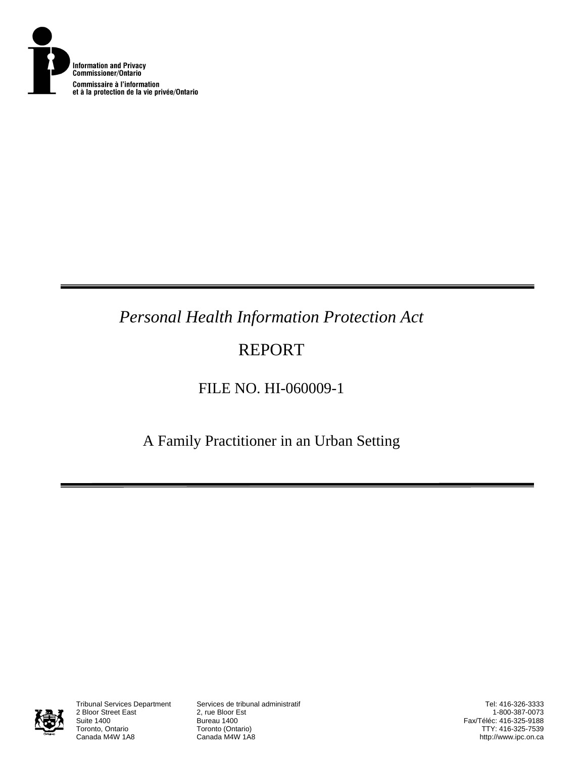

## *Personal Health Information Protection Act*

# REPORT

## FILE NO. HI-060009-1

### A Family Practitioner in an Urban Setting



2 Bloor Street East<br>Suite 1400 Suite 1400<br>Toronto, Ontario **Bureau 1400**<br>Toronto (Onta Toronto, Ontario **Toronto (Ontario)**<br>Canada M4W 1A8 **Canada M4W 1A8** 

Tribunal Services Department Services de tribunal administratif

Tel: 416-326-3333 1-800-387-0073 Fax/Téléc: 416-325-9188 TTY: 416-325-7539 http://www.ipc.on.ca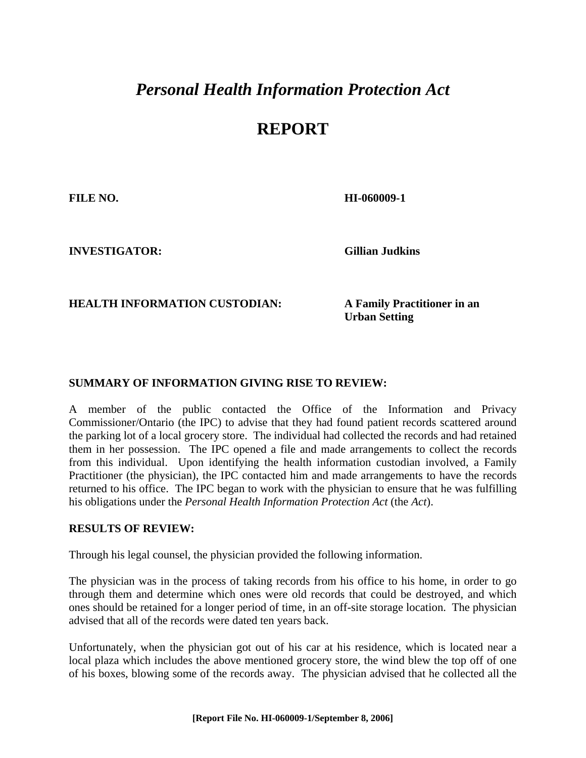## *Personal Health Information Protection Act*

#### **REPORT**

**FILE NO. HI-060009-1** 

**INVESTIGATOR: Gillian Judkins**

#### **HEALTH INFORMATION CUSTODIAN: A Family Practitioner in an**

 **Urban Setting** 

#### **SUMMARY OF INFORMATION GIVING RISE TO REVIEW:**

A member of the public contacted the Office of the Information and Privacy Commissioner/Ontario (the IPC) to advise that they had found patient records scattered around the parking lot of a local grocery store. The individual had collected the records and had retained them in her possession. The IPC opened a file and made arrangements to collect the records from this individual. Upon identifying the health information custodian involved, a Family Practitioner (the physician), the IPC contacted him and made arrangements to have the records returned to his office. The IPC began to work with the physician to ensure that he was fulfilling his obligations under the *Personal Health Information Protection Act* (the *Act*).

#### **RESULTS OF REVIEW:**

Through his legal counsel, the physician provided the following information.

The physician was in the process of taking records from his office to his home, in order to go through them and determine which ones were old records that could be destroyed, and which ones should be retained for a longer period of time, in an off-site storage location. The physician advised that all of the records were dated ten years back.

Unfortunately, when the physician got out of his car at his residence, which is located near a local plaza which includes the above mentioned grocery store, the wind blew the top off of one of his boxes, blowing some of the records away. The physician advised that he collected all the